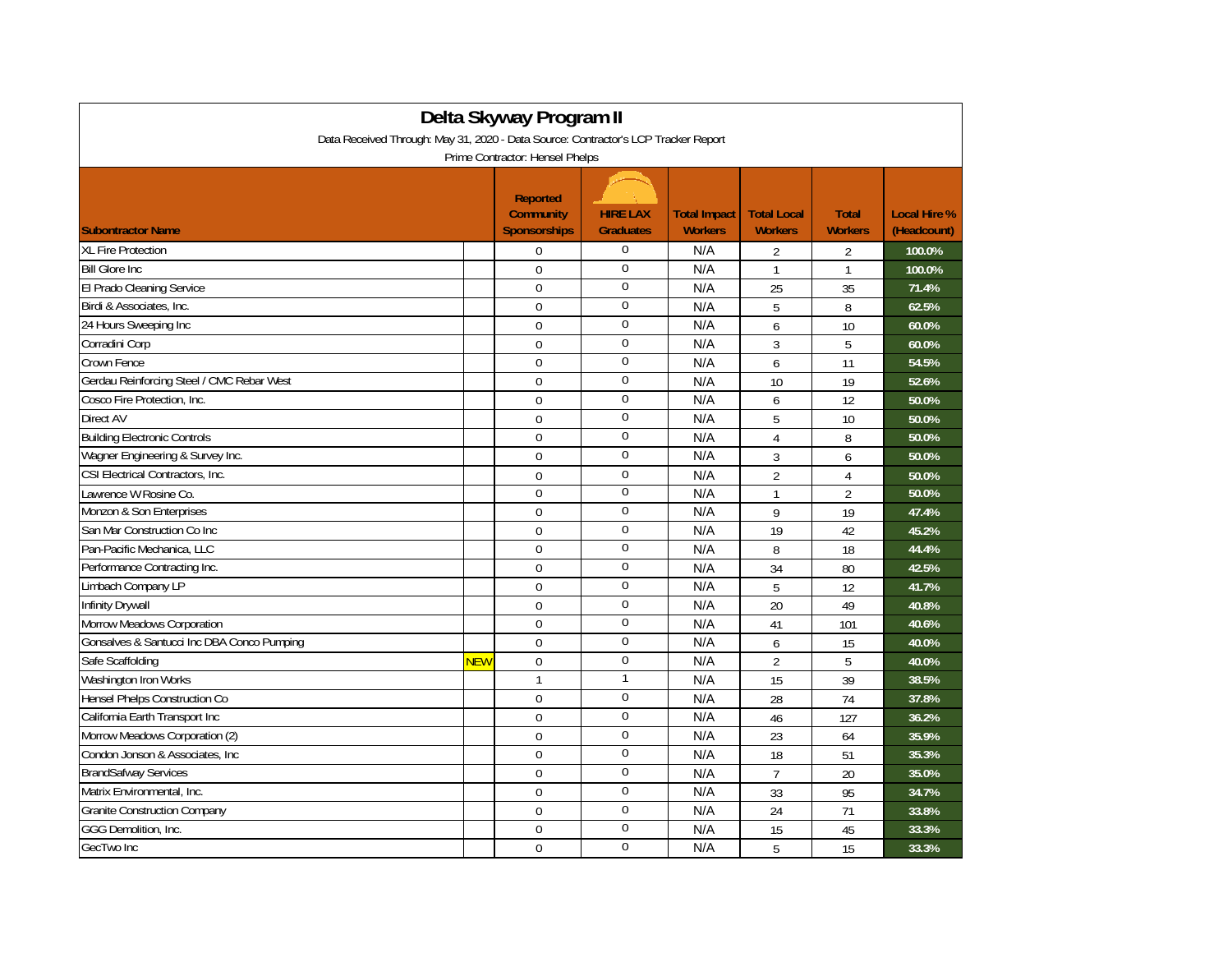| Delta Skyway Program II<br>Data Received Through: May 31, 2020 - Data Source: Contractor's LCP Tracker Report |            |                                                            |                                     |                                       |                                      |                                |                                    |  |
|---------------------------------------------------------------------------------------------------------------|------------|------------------------------------------------------------|-------------------------------------|---------------------------------------|--------------------------------------|--------------------------------|------------------------------------|--|
| Prime Contractor: Hensel Phelps                                                                               |            |                                                            |                                     |                                       |                                      |                                |                                    |  |
| <b>Subontractor Name</b>                                                                                      |            | <b>Reported</b><br><b>Community</b><br><b>Sponsorships</b> | <b>HIRE LAX</b><br><b>Graduates</b> | <b>Total Impact</b><br><b>Workers</b> | <b>Total Local</b><br><b>Workers</b> | <b>Total</b><br><b>Workers</b> | <b>Local Hire %</b><br>(Headcount) |  |
| <b>XL Fire Protection</b>                                                                                     |            | 0                                                          | 0                                   | N/A                                   | $\overline{2}$                       | $\overline{2}$                 | 100.0%                             |  |
| <b>Bill Glore Inc.</b>                                                                                        |            | $\Omega$                                                   | $\mathbf 0$                         | N/A                                   | $\mathbf{1}$                         | $\mathbf{1}$                   | 100.0%                             |  |
| El Prado Cleaning Service                                                                                     |            | 0                                                          | $\boldsymbol{0}$                    | N/A                                   | 25                                   | 35                             | 71.4%                              |  |
| Birdi & Associates, Inc.                                                                                      |            | $\mathbf 0$                                                | 0                                   | N/A                                   | 5                                    | 8                              | 62.5%                              |  |
| 24 Hours Sweeping Inc                                                                                         |            | $\Omega$                                                   | $\mathbf{0}$                        | N/A                                   | 6                                    | 10                             | 60.0%                              |  |
| Corradini Corp                                                                                                |            | $\Omega$                                                   | $\boldsymbol{0}$                    | N/A                                   | 3                                    | 5                              | 60.0%                              |  |
| Crown Fence                                                                                                   |            | $\Omega$                                                   | $\mathbf 0$                         | N/A                                   | 6                                    | 11                             | 54.5%                              |  |
| Gerdau Reinforcing Steel / CMC Rebar West                                                                     |            | $\mathbf 0$                                                | $\mathbf 0$                         | N/A                                   | 10                                   | 19                             | 52.6%                              |  |
| Cosco Fire Protection, Inc.                                                                                   |            | 0                                                          | $\boldsymbol{0}$                    | N/A                                   | 6                                    | 12                             | 50.0%                              |  |
| <b>Direct AV</b>                                                                                              |            | $\mathbf 0$                                                | 0                                   | N/A                                   | 5                                    | 10                             | 50.0%                              |  |
| <b>Building Electronic Controls</b>                                                                           |            | $\mathbf 0$                                                | $\mathbf 0$                         | N/A                                   | $\overline{4}$                       | 8                              | 50.0%                              |  |
| Wagner Engineering & Survey Inc.                                                                              |            | $\mathbf 0$                                                | $\mathbf 0$                         | N/A                                   | 3                                    | 6                              | 50.0%                              |  |
| CSI Electrical Contractors, Inc.                                                                              |            | $\Omega$                                                   | $\mathbf 0$                         | N/A                                   | $\overline{2}$                       | 4                              | 50.0%                              |  |
| Lawrence W Rosine Co.                                                                                         |            | $\overline{0}$                                             | 0                                   | N/A                                   | $\mathbf{1}$                         | $\overline{2}$                 | 50.0%                              |  |
| Monzon & Son Enterprises                                                                                      |            | 0                                                          | 0                                   | N/A                                   | 9                                    | 19                             | 47.4%                              |  |
| San Mar Construction Co Inc                                                                                   |            | $\Omega$                                                   | 0                                   | N/A                                   | 19                                   | 42                             | 45.2%                              |  |
| Pan-Pacific Mechanica, LLC                                                                                    |            | $\mathbf 0$                                                | $\boldsymbol{0}$                    | N/A                                   | 8                                    | 18                             | 44.4%                              |  |
| Performance Contracting Inc.                                                                                  |            | $\Omega$                                                   | $\mathbf 0$                         | N/A                                   | 34                                   | 80                             | 42.5%                              |  |
| Limbach Company LP                                                                                            |            | $\mathbf 0$                                                | $\mathbf 0$                         | N/A                                   | 5                                    | 12                             | 41.7%                              |  |
| Infinity Drywall                                                                                              |            | 0                                                          | $\mathbf 0$                         | N/A                                   | 20                                   | 49                             | 40.8%                              |  |
| Morrow Meadows Corporation                                                                                    |            | $\Omega$                                                   | $\mathbf 0$                         | N/A                                   | 41                                   | 101                            | 40.6%                              |  |
| Gonsalves & Santucci Inc DBA Conco Pumping                                                                    |            | $\mathbf 0$                                                | $\boldsymbol{0}$                    | N/A                                   | 6                                    | 15                             | 40.0%                              |  |
| Safe Scaffolding                                                                                              | <b>NEW</b> | $\Omega$                                                   | 0                                   | N/A                                   | $\overline{2}$                       | 5                              | 40.0%                              |  |
| Washington Iron Works                                                                                         |            | $\mathbf{1}$                                               | 1                                   | N/A                                   | 15                                   | 39                             | 38.5%                              |  |
| Hensel Phelps Construction Co                                                                                 |            | $\overline{0}$                                             | $\boldsymbol{0}$                    | N/A                                   | 28                                   | 74                             | 37.8%                              |  |
| California Earth Transport Inc                                                                                |            | $\Omega$                                                   | $\mathbf 0$                         | N/A                                   | 46                                   | 127                            | 36.2%                              |  |
| Morrow Meadows Corporation (2)                                                                                |            | $\mathbf 0$                                                | $\mathbf 0$                         | N/A                                   | 23                                   | 64                             | 35.9%                              |  |
| Condon Jonson & Associates, Inc.                                                                              |            | $\Omega$                                                   | $\overline{0}$                      | N/A                                   | 18                                   | 51                             | 35.3%                              |  |
| <b>BrandSafway Services</b>                                                                                   |            | $\Omega$                                                   | $\mathbf 0$                         | N/A                                   | $\overline{7}$                       | 20                             | 35.0%                              |  |
| Matrix Environmental, Inc.                                                                                    |            | 0                                                          | $\boldsymbol{0}$                    | N/A                                   | 33                                   | 95                             | 34.7%                              |  |
| <b>Granite Construction Company</b>                                                                           |            | $\mathbf 0$                                                | 0                                   | N/A                                   | 24                                   | 71                             | 33.8%                              |  |
| GGG Demolition, Inc.                                                                                          |            | $\Omega$                                                   | $\mathbf{0}$                        | N/A                                   | 15                                   | 45                             | 33.3%                              |  |
| GecTwo Inc                                                                                                    |            | $\Omega$                                                   | $\boldsymbol{0}$                    | N/A                                   | 5                                    | 15                             | 33.3%                              |  |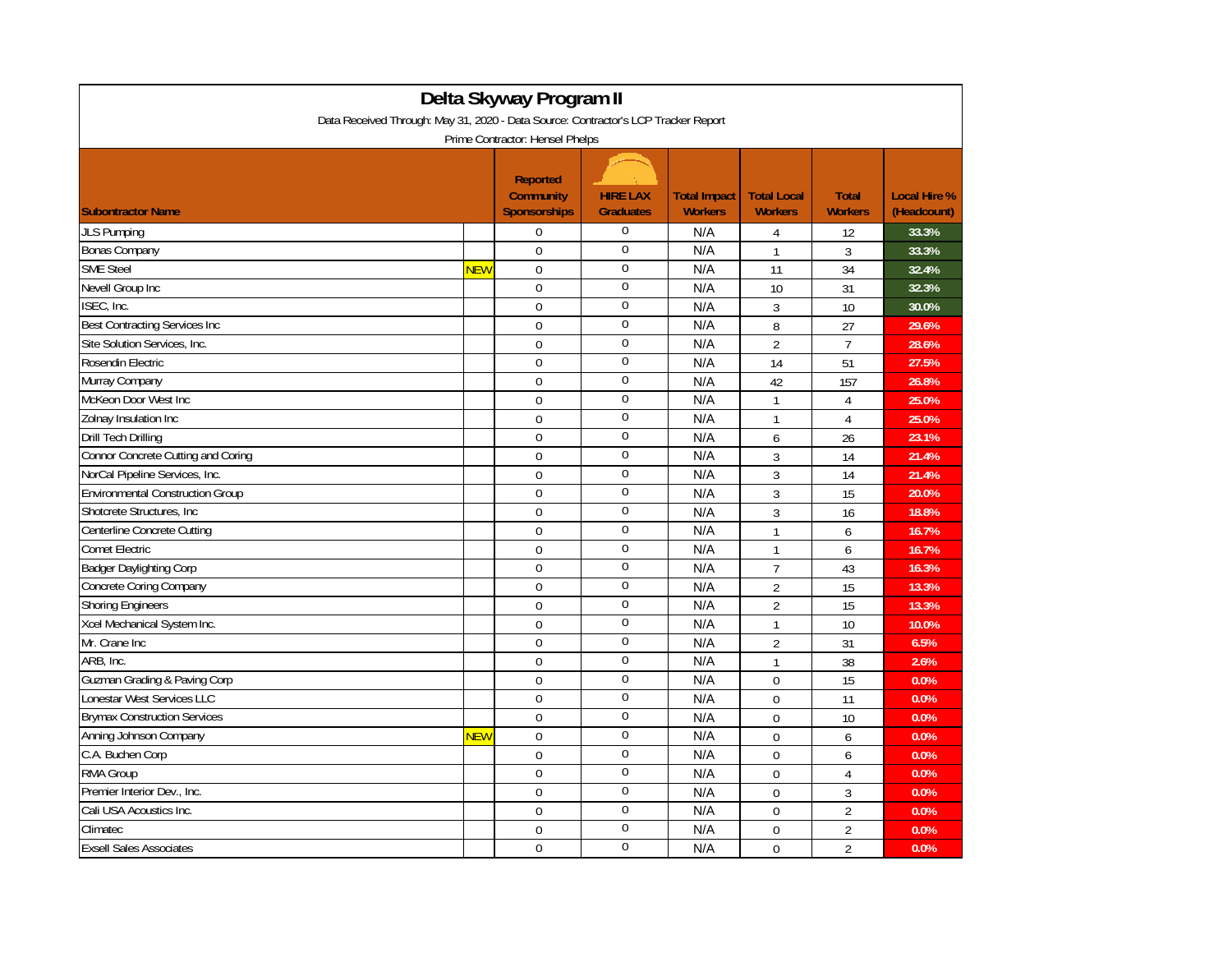| Delta Skyway Program II                                                            |            |                                                            |                                     |                                       |                                      |                                |                                    |  |  |
|------------------------------------------------------------------------------------|------------|------------------------------------------------------------|-------------------------------------|---------------------------------------|--------------------------------------|--------------------------------|------------------------------------|--|--|
| Data Received Through: May 31, 2020 - Data Source: Contractor's LCP Tracker Report |            |                                                            |                                     |                                       |                                      |                                |                                    |  |  |
| Prime Contractor: Hensel Phelps                                                    |            |                                                            |                                     |                                       |                                      |                                |                                    |  |  |
| <b>Subontractor Name</b>                                                           |            | <b>Reported</b><br><b>Community</b><br><b>Sponsorships</b> | <b>HIRE LAX</b><br><b>Graduates</b> | <b>Total Impact</b><br><b>Workers</b> | <b>Total Local</b><br><b>Workers</b> | <b>Total</b><br><b>Workers</b> | <b>Local Hire %</b><br>(Headcount) |  |  |
| <b>JLS Pumping</b>                                                                 |            | $\boldsymbol{0}$                                           | $\mathbf{0}$                        | N/A                                   | 4                                    | 12                             | 33.3%                              |  |  |
| <b>Bonas Company</b>                                                               |            | $\mathbf 0$                                                | $\mathbf{0}$                        | N/A                                   | 1                                    | 3                              | 33.3%                              |  |  |
| <b>SME Steel</b>                                                                   | <b>NEW</b> | $\Omega$                                                   | $\mathbf 0$                         | N/A                                   | 11                                   | 34                             | 32.4%                              |  |  |
| Nevell Group Inc                                                                   |            | $\Omega$                                                   | $\mathbf 0$                         | N/A                                   | 10                                   | 31                             | 32.3%                              |  |  |
| ISEC, Inc.                                                                         |            | $\Omega$                                                   | $\mathbf 0$                         | N/A                                   | 3                                    | 10                             | 30.0%                              |  |  |
| <b>Best Contracting Services Inc</b>                                               |            | $\mathbf 0$                                                | $\mathbf 0$                         | N/A                                   | 8                                    | 27                             | 29.6%                              |  |  |
| Site Solution Services, Inc.                                                       |            | $\mathbf 0$                                                | $\bf{0}$                            | N/A                                   | $\overline{2}$                       | $\overline{7}$                 | 28.6%                              |  |  |
| Rosendin Electric                                                                  |            | $\Omega$                                                   | $\boldsymbol{0}$                    | N/A                                   | 14                                   | 51                             | 27.5%                              |  |  |
| Murray Company                                                                     |            | $\Omega$                                                   | $\boldsymbol{0}$                    | N/A                                   | 42                                   | 157                            | 26.8%                              |  |  |
| McKeon Door West Inc                                                               |            | $\Omega$                                                   | $\mathbf 0$                         | N/A                                   | $\mathbf{1}$                         | 4                              | 25.0%                              |  |  |
| Zolnay Insulation Inc                                                              |            | $\mathbf 0$                                                | $\mathbf{0}$                        | N/A                                   | $\mathbf{1}$                         | $\overline{4}$                 | 25.0%                              |  |  |
| Drill Tech Drilling                                                                |            | $\mathbf 0$                                                | $\boldsymbol{0}$                    | N/A                                   | 6                                    | 26                             | 23.1%                              |  |  |
| Connor Concrete Cutting and Coring                                                 |            | $\Omega$                                                   | $\mathbf 0$                         | N/A                                   | $\overline{3}$                       | 14                             | 21.4%                              |  |  |
| NorCal Pipeline Services, Inc.                                                     |            | $\mathbf 0$                                                | $\boldsymbol{0}$                    | N/A                                   | 3                                    | 14                             | 21.4%                              |  |  |
| <b>Environmental Construction Group</b>                                            |            | $\Omega$                                                   | $\mathbf{0}$                        | N/A                                   | 3                                    | 15                             | 20.0%                              |  |  |
| Shotcrete Structures, Inc.                                                         |            | $\mathbf 0$                                                | $\mathbf{0}$                        | N/A                                   | 3                                    | 16                             | 18.8%                              |  |  |
| Centerline Concrete Cutting                                                        |            | $\mathbf 0$                                                | $\bf{0}$                            | N/A                                   | 1                                    | 6                              | 16.7%                              |  |  |
| <b>Comet Electric</b>                                                              |            | $\Omega$                                                   | $\boldsymbol{0}$                    | N/A                                   | $\mathbf{1}$                         | 6                              | 16.7%                              |  |  |
| <b>Badger Daylighting Corp</b>                                                     |            | $\Omega$                                                   | $\boldsymbol{0}$                    | N/A                                   | $\overline{7}$                       | 43                             | 16.3%                              |  |  |
| Concrete Coring Company                                                            |            | $\Omega$                                                   | $\mathbf{0}$                        | N/A                                   | $\overline{2}$                       | 15                             | 13.3%                              |  |  |
| <b>Shoring Engineers</b>                                                           |            | $\Omega$                                                   | $\mathbf{0}$                        | N/A                                   | $\overline{2}$                       | 15                             | 13.3%                              |  |  |
| Xcel Mechanical System Inc.                                                        |            | $\mathbf 0$                                                | $\mathbf 0$                         | N/A                                   | $\mathbf{1}$                         | 10                             | 10.0%                              |  |  |
| Mr. Crane Inc                                                                      |            | $\Omega$                                                   | $\boldsymbol{0}$                    | N/A                                   | $\overline{2}$                       | 31                             | 6.5%                               |  |  |
| ARB, Inc.                                                                          |            | $\mathbf 0$                                                | $\boldsymbol{0}$                    | N/A                                   | $\mathbf{1}$                         | 38                             | 2.6%                               |  |  |
| Guzman Grading & Paving Corp                                                       |            | $\Omega$                                                   | $\mathbf 0$                         | N/A                                   | $\Omega$                             | 15                             | 0.0%                               |  |  |
| Lonestar West Services LLC                                                         |            | $\Omega$                                                   | $\mathbf 0$                         | N/A                                   | 0                                    | 11                             | 0.0%                               |  |  |
| <b>Brymax Construction Services</b>                                                |            | $\mathbf 0$                                                | $\mathbf 0$                         | N/A                                   | 0                                    | 10                             | 0.0%                               |  |  |
| Anning Johnson Company                                                             | <b>NEW</b> | $\mathbf 0$                                                | $\boldsymbol{0}$                    | N/A                                   | $\Omega$                             | 6                              | 0.0%                               |  |  |
| C.A. Buchen Corp                                                                   |            | $\mathbf 0$                                                | $\boldsymbol{0}$                    | N/A                                   | $\Omega$                             | 6                              | 0.0%                               |  |  |
| <b>RMA Group</b>                                                                   |            | $\Omega$                                                   | $\mathbf 0$                         | N/A                                   | $\Omega$                             | $\overline{4}$                 | 0.0%                               |  |  |
| Premier Interior Dev., Inc.                                                        |            | $\boldsymbol{0}$                                           | $\mathbf 0$                         | N/A                                   | 0                                    | 3                              | 0.0%                               |  |  |
| Cali USA Acoustics Inc.                                                            |            | $\mathbf 0$                                                | $\mathbf 0$                         | N/A                                   | 0                                    | $\overline{2}$                 | 0.0%                               |  |  |
| Climatec                                                                           |            | $\mathbf 0$                                                | $\boldsymbol{0}$                    | N/A                                   | $\Omega$                             | $\overline{2}$                 | 0.0%                               |  |  |
| <b>Exsell Sales Associates</b>                                                     |            | $\mathbf 0$                                                | $\mathbf 0$                         | N/A                                   | $\mathbf 0$                          | $\overline{2}$                 | 0.0%                               |  |  |